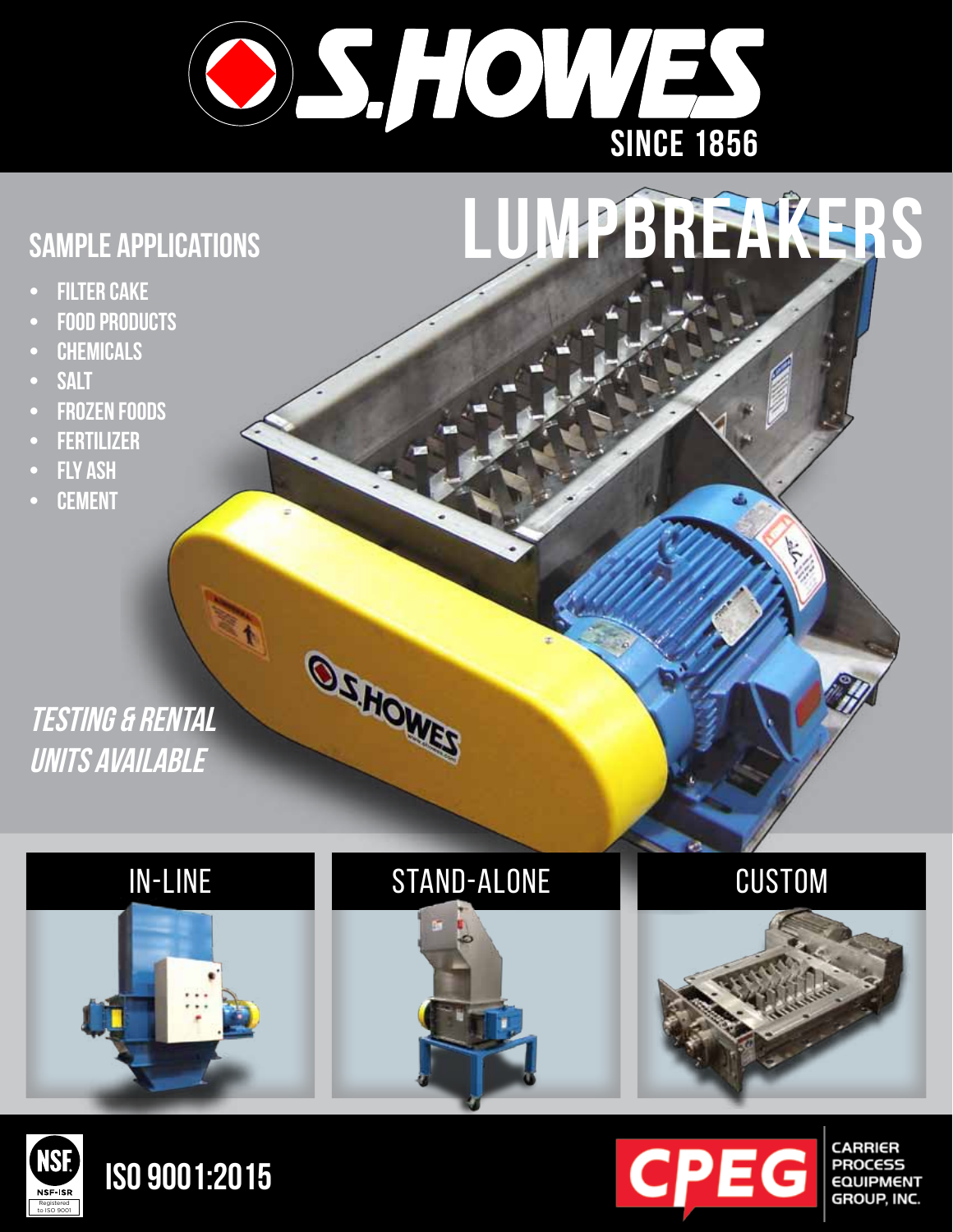

## SAMPLE APPLICATIONS **LUMPBREAKERS**

- **FILTER CAKE**
- **• Food products**
- **• Chemicals**
- **• salt**
- **FROZEN FOODS**
- **• Fertilizer**
- **FLY ASH**
- **• Cement**

### **testing & rental units available**

# in-line stand-alone custom

OCHOWED